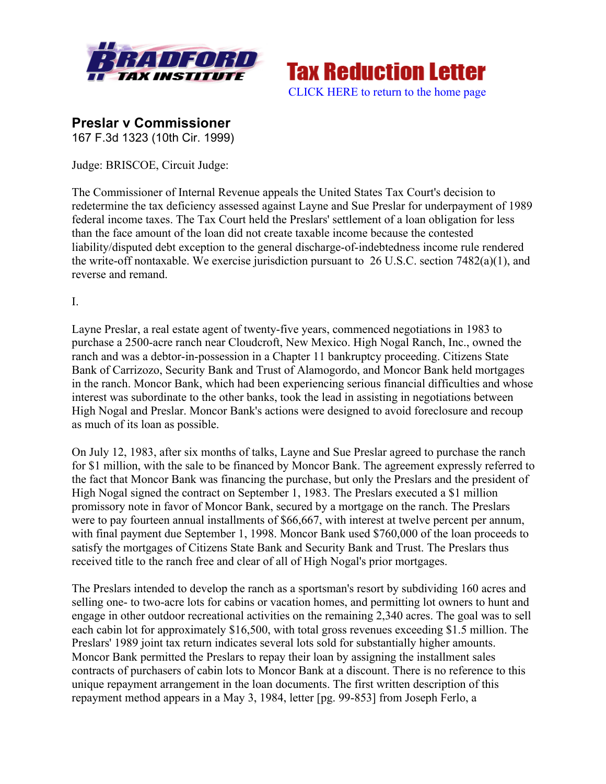



# **Preslar v Commissioner**

167 F.3d 1323 (10th Cir. 1999)

Judge: BRISCOE, Circuit Judge:

The Commissioner of Internal Revenue appeals the United States Tax Court's decision to redetermine the tax deficiency assessed against Layne and Sue Preslar for underpayment of 1989 federal income taxes. The Tax Court held the Preslars' settlement of a loan obligation for less than the face amount of the loan did not create taxable income because the contested liability/disputed debt exception to the general discharge-of-indebtedness income rule rendered the write-off nontaxable. We exercise jurisdiction pursuant to 26 U.S.C. section 7482(a)(1), and reverse and remand.

I.

Layne Preslar, a real estate agent of twenty-five years, commenced negotiations in 1983 to purchase a 2500-acre ranch near Cloudcroft, New Mexico. High Nogal Ranch, Inc., owned the ranch and was a debtor-in-possession in a Chapter 11 bankruptcy proceeding. Citizens State Bank of Carrizozo, Security Bank and Trust of Alamogordo, and Moncor Bank held mortgages in the ranch. Moncor Bank, which had been experiencing serious financial difficulties and whose interest was subordinate to the other banks, took the lead in assisting in negotiations between High Nogal and Preslar. Moncor Bank's actions were designed to avoid foreclosure and recoup as much of its loan as possible.

On July 12, 1983, after six months of talks, Layne and Sue Preslar agreed to purchase the ranch for \$1 million, with the sale to be financed by Moncor Bank. The agreement expressly referred to the fact that Moncor Bank was financing the purchase, but only the Preslars and the president of High Nogal signed the contract on September 1, 1983. The Preslars executed a \$1 million promissory note in favor of Moncor Bank, secured by a mortgage on the ranch. The Preslars were to pay fourteen annual installments of \$66,667, with interest at twelve percent per annum, with final payment due September 1, 1998. Moncor Bank used \$760,000 of the loan proceeds to satisfy the mortgages of Citizens State Bank and Security Bank and Trust. The Preslars thus received title to the ranch free and clear of all of High Nogal's prior mortgages.

The Preslars intended to develop the ranch as a sportsman's resort by subdividing 160 acres and selling one- to two-acre lots for cabins or vacation homes, and permitting lot owners to hunt and engage in other outdoor recreational activities on the remaining 2,340 acres. The goal was to sell each cabin lot for approximately \$16,500, with total gross revenues exceeding \$1.5 million. The Preslars' 1989 joint tax return indicates several lots sold for substantially higher amounts. Moncor Bank permitted the Preslars to repay their loan by assigning the installment sales contracts of purchasers of cabin lots to Moncor Bank at a discount. There is no reference to this unique repayment arrangement in the loan documents. The first written description of this repayment method appears in a May 3, 1984, letter [pg. 99-853] from Joseph Ferlo, a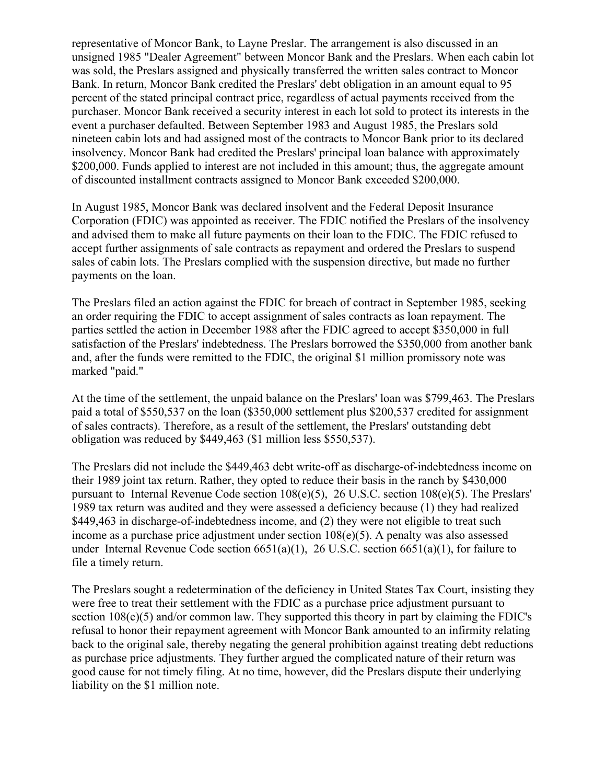representative of Moncor Bank, to Layne Preslar. The arrangement is also discussed in an unsigned 1985 "Dealer Agreement" between Moncor Bank and the Preslars. When each cabin lot was sold, the Preslars assigned and physically transferred the written sales contract to Moncor Bank. In return, Moncor Bank credited the Preslars' debt obligation in an amount equal to 95 percent of the stated principal contract price, regardless of actual payments received from the purchaser. Moncor Bank received a security interest in each lot sold to protect its interests in the event a purchaser defaulted. Between September 1983 and August 1985, the Preslars sold nineteen cabin lots and had assigned most of the contracts to Moncor Bank prior to its declared insolvency. Moncor Bank had credited the Preslars' principal loan balance with approximately \$200,000. Funds applied to interest are not included in this amount; thus, the aggregate amount of discounted installment contracts assigned to Moncor Bank exceeded \$200,000.

In August 1985, Moncor Bank was declared insolvent and the Federal Deposit Insurance Corporation (FDIC) was appointed as receiver. The FDIC notified the Preslars of the insolvency and advised them to make all future payments on their loan to the FDIC. The FDIC refused to accept further assignments of sale contracts as repayment and ordered the Preslars to suspend sales of cabin lots. The Preslars complied with the suspension directive, but made no further payments on the loan.

The Preslars filed an action against the FDIC for breach of contract in September 1985, seeking an order requiring the FDIC to accept assignment of sales contracts as loan repayment. The parties settled the action in December 1988 after the FDIC agreed to accept \$350,000 in full satisfaction of the Preslars' indebtedness. The Preslars borrowed the \$350,000 from another bank and, after the funds were remitted to the FDIC, the original \$1 million promissory note was marked "paid."

At the time of the settlement, the unpaid balance on the Preslars' loan was \$799,463. The Preslars paid a total of \$550,537 on the loan (\$350,000 settlement plus \$200,537 credited for assignment of sales contracts). Therefore, as a result of the settlement, the Preslars' outstanding debt obligation was reduced by \$449,463 (\$1 million less \$550,537).

The Preslars did not include the \$449,463 debt write-off as discharge-of-indebtedness income on their 1989 joint tax return. Rather, they opted to reduce their basis in the ranch by \$430,000 pursuant to Internal Revenue Code section 108(e)(5), 26 U.S.C. section 108(e)(5). The Preslars' 1989 tax return was audited and they were assessed a deficiency because (1) they had realized \$449,463 in discharge-of-indebtedness income, and (2) they were not eligible to treat such income as a purchase price adjustment under section 108(e)(5). A penalty was also assessed under Internal Revenue Code section 6651(a)(1), 26 U.S.C. section 6651(a)(1), for failure to file a timely return.

The Preslars sought a redetermination of the deficiency in United States Tax Court, insisting they were free to treat their settlement with the FDIC as a purchase price adjustment pursuant to section 108(e)(5) and/or common law. They supported this theory in part by claiming the FDIC's refusal to honor their repayment agreement with Moncor Bank amounted to an infirmity relating back to the original sale, thereby negating the general prohibition against treating debt reductions as purchase price adjustments. They further argued the complicated nature of their return was good cause for not timely filing. At no time, however, did the Preslars dispute their underlying liability on the \$1 million note.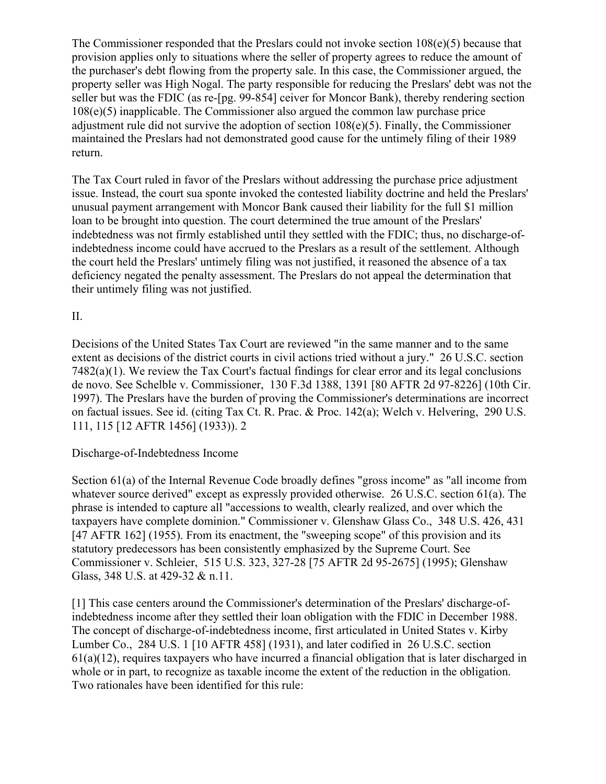The Commissioner responded that the Preslars could not invoke section 108(e)(5) because that provision applies only to situations where the seller of property agrees to reduce the amount of the purchaser's debt flowing from the property sale. In this case, the Commissioner argued, the property seller was High Nogal. The party responsible for reducing the Preslars' debt was not the seller but was the FDIC (as re-[pg. 99-854] ceiver for Moncor Bank), thereby rendering section 108(e)(5) inapplicable. The Commissioner also argued the common law purchase price adjustment rule did not survive the adoption of section 108(e)(5). Finally, the Commissioner maintained the Preslars had not demonstrated good cause for the untimely filing of their 1989 return.

The Tax Court ruled in favor of the Preslars without addressing the purchase price adjustment issue. Instead, the court sua sponte invoked the contested liability doctrine and held the Preslars' unusual payment arrangement with Moncor Bank caused their liability for the full \$1 million loan to be brought into question. The court determined the true amount of the Preslars' indebtedness was not firmly established until they settled with the FDIC; thus, no discharge-ofindebtedness income could have accrued to the Preslars as a result of the settlement. Although the court held the Preslars' untimely filing was not justified, it reasoned the absence of a tax deficiency negated the penalty assessment. The Preslars do not appeal the determination that their untimely filing was not justified.

### II.

Decisions of the United States Tax Court are reviewed "in the same manner and to the same extent as decisions of the district courts in civil actions tried without a jury." 26 U.S.C. section 7482(a)(1). We review the Tax Court's factual findings for clear error and its legal conclusions de novo. See Schelble v. Commissioner, 130 F.3d 1388, 1391 [80 AFTR 2d 97-8226] (10th Cir. 1997). The Preslars have the burden of proving the Commissioner's determinations are incorrect on factual issues. See id. (citing Tax Ct. R. Prac. & Proc. 142(a); Welch v. Helvering, 290 U.S. 111, 115 [12 AFTR 1456] (1933)). 2

### Discharge-of-Indebtedness Income

Section 61(a) of the Internal Revenue Code broadly defines "gross income" as "all income from whatever source derived" except as expressly provided otherwise. 26 U.S.C. section 61(a). The phrase is intended to capture all "accessions to wealth, clearly realized, and over which the taxpayers have complete dominion." Commissioner v. Glenshaw Glass Co., 348 U.S. 426, 431 [47 AFTR 162] (1955). From its enactment, the "sweeping scope" of this provision and its statutory predecessors has been consistently emphasized by the Supreme Court. See Commissioner v. Schleier, 515 U.S. 323, 327-28 [75 AFTR 2d 95-2675] (1995); Glenshaw Glass, 348 U.S. at 429-32 & n.11.

[1] This case centers around the Commissioner's determination of the Preslars' discharge-ofindebtedness income after they settled their loan obligation with the FDIC in December 1988. The concept of discharge-of-indebtedness income, first articulated in United States v. Kirby Lumber Co., 284 U.S. 1 [10 AFTR 458] (1931), and later codified in 26 U.S.C. section  $61(a)(12)$ , requires taxpayers who have incurred a financial obligation that is later discharged in whole or in part, to recognize as taxable income the extent of the reduction in the obligation. Two rationales have been identified for this rule: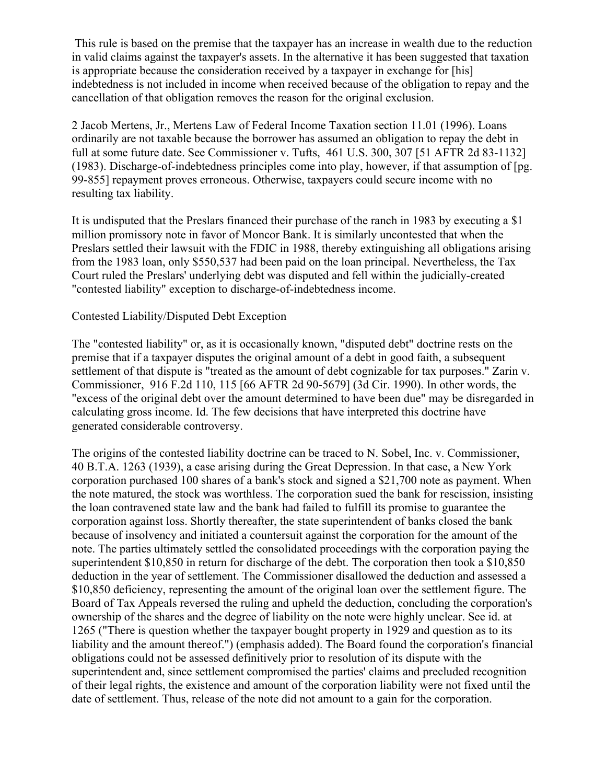This rule is based on the premise that the taxpayer has an increase in wealth due to the reduction in valid claims against the taxpayer's assets. In the alternative it has been suggested that taxation is appropriate because the consideration received by a taxpayer in exchange for [his] indebtedness is not included in income when received because of the obligation to repay and the cancellation of that obligation removes the reason for the original exclusion.

2 Jacob Mertens, Jr., Mertens Law of Federal Income Taxation section 11.01 (1996). Loans ordinarily are not taxable because the borrower has assumed an obligation to repay the debt in full at some future date. See Commissioner v. Tufts, 461 U.S. 300, 307 [51 AFTR 2d 83-1132] (1983). Discharge-of-indebtedness principles come into play, however, if that assumption of [pg. 99-855] repayment proves erroneous. Otherwise, taxpayers could secure income with no resulting tax liability.

It is undisputed that the Preslars financed their purchase of the ranch in 1983 by executing a \$1 million promissory note in favor of Moncor Bank. It is similarly uncontested that when the Preslars settled their lawsuit with the FDIC in 1988, thereby extinguishing all obligations arising from the 1983 loan, only \$550,537 had been paid on the loan principal. Nevertheless, the Tax Court ruled the Preslars' underlying debt was disputed and fell within the judicially-created "contested liability" exception to discharge-of-indebtedness income.

#### Contested Liability/Disputed Debt Exception

The "contested liability" or, as it is occasionally known, "disputed debt" doctrine rests on the premise that if a taxpayer disputes the original amount of a debt in good faith, a subsequent settlement of that dispute is "treated as the amount of debt cognizable for tax purposes." Zarin v. Commissioner, 916 F.2d 110, 115 [66 AFTR 2d 90-5679] (3d Cir. 1990). In other words, the "excess of the original debt over the amount determined to have been due" may be disregarded in calculating gross income. Id. The few decisions that have interpreted this doctrine have generated considerable controversy.

The origins of the contested liability doctrine can be traced to N. Sobel, Inc. v. Commissioner, 40 B.T.A. 1263 (1939), a case arising during the Great Depression. In that case, a New York corporation purchased 100 shares of a bank's stock and signed a \$21,700 note as payment. When the note matured, the stock was worthless. The corporation sued the bank for rescission, insisting the loan contravened state law and the bank had failed to fulfill its promise to guarantee the corporation against loss. Shortly thereafter, the state superintendent of banks closed the bank because of insolvency and initiated a countersuit against the corporation for the amount of the note. The parties ultimately settled the consolidated proceedings with the corporation paying the superintendent \$10,850 in return for discharge of the debt. The corporation then took a \$10,850 deduction in the year of settlement. The Commissioner disallowed the deduction and assessed a \$10,850 deficiency, representing the amount of the original loan over the settlement figure. The Board of Tax Appeals reversed the ruling and upheld the deduction, concluding the corporation's ownership of the shares and the degree of liability on the note were highly unclear. See id. at 1265 ("There is question whether the taxpayer bought property in 1929 and question as to its liability and the amount thereof.") (emphasis added). The Board found the corporation's financial obligations could not be assessed definitively prior to resolution of its dispute with the superintendent and, since settlement compromised the parties' claims and precluded recognition of their legal rights, the existence and amount of the corporation liability were not fixed until the date of settlement. Thus, release of the note did not amount to a gain for the corporation.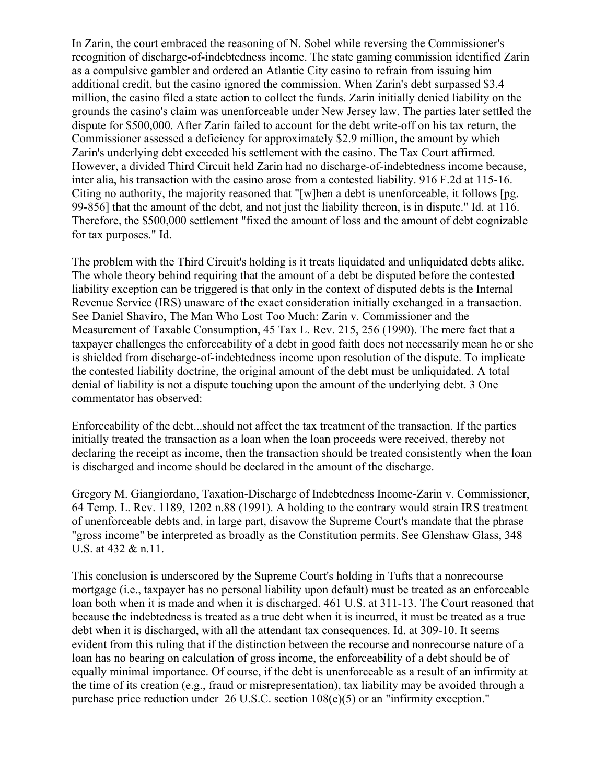In Zarin, the court embraced the reasoning of N. Sobel while reversing the Commissioner's recognition of discharge-of-indebtedness income. The state gaming commission identified Zarin as a compulsive gambler and ordered an Atlantic City casino to refrain from issuing him additional credit, but the casino ignored the commission. When Zarin's debt surpassed \$3.4 million, the casino filed a state action to collect the funds. Zarin initially denied liability on the grounds the casino's claim was unenforceable under New Jersey law. The parties later settled the dispute for \$500,000. After Zarin failed to account for the debt write-off on his tax return, the Commissioner assessed a deficiency for approximately \$2.9 million, the amount by which Zarin's underlying debt exceeded his settlement with the casino. The Tax Court affirmed. However, a divided Third Circuit held Zarin had no discharge-of-indebtedness income because, inter alia, his transaction with the casino arose from a contested liability. 916 F.2d at 115-16. Citing no authority, the majority reasoned that "[w]hen a debt is unenforceable, it follows [pg. 99-856] that the amount of the debt, and not just the liability thereon, is in dispute." Id. at 116. Therefore, the \$500,000 settlement "fixed the amount of loss and the amount of debt cognizable for tax purposes." Id.

The problem with the Third Circuit's holding is it treats liquidated and unliquidated debts alike. The whole theory behind requiring that the amount of a debt be disputed before the contested liability exception can be triggered is that only in the context of disputed debts is the Internal Revenue Service (IRS) unaware of the exact consideration initially exchanged in a transaction. See Daniel Shaviro, The Man Who Lost Too Much: Zarin v. Commissioner and the Measurement of Taxable Consumption, 45 Tax L. Rev. 215, 256 (1990). The mere fact that a taxpayer challenges the enforceability of a debt in good faith does not necessarily mean he or she is shielded from discharge-of-indebtedness income upon resolution of the dispute. To implicate the contested liability doctrine, the original amount of the debt must be unliquidated. A total denial of liability is not a dispute touching upon the amount of the underlying debt. 3 One commentator has observed:

Enforceability of the debt...should not affect the tax treatment of the transaction. If the parties initially treated the transaction as a loan when the loan proceeds were received, thereby not declaring the receipt as income, then the transaction should be treated consistently when the loan is discharged and income should be declared in the amount of the discharge.

Gregory M. Giangiordano, Taxation-Discharge of Indebtedness Income-Zarin v. Commissioner, 64 Temp. L. Rev. 1189, 1202 n.88 (1991). A holding to the contrary would strain IRS treatment of unenforceable debts and, in large part, disavow the Supreme Court's mandate that the phrase "gross income" be interpreted as broadly as the Constitution permits. See Glenshaw Glass, 348 U.S. at 432 & n.11.

This conclusion is underscored by the Supreme Court's holding in Tufts that a nonrecourse mortgage (i.e., taxpayer has no personal liability upon default) must be treated as an enforceable loan both when it is made and when it is discharged. 461 U.S. at 311-13. The Court reasoned that because the indebtedness is treated as a true debt when it is incurred, it must be treated as a true debt when it is discharged, with all the attendant tax consequences. Id. at 309-10. It seems evident from this ruling that if the distinction between the recourse and nonrecourse nature of a loan has no bearing on calculation of gross income, the enforceability of a debt should be of equally minimal importance. Of course, if the debt is unenforceable as a result of an infirmity at the time of its creation (e.g., fraud or misrepresentation), tax liability may be avoided through a purchase price reduction under 26 U.S.C. section 108(e)(5) or an "infirmity exception."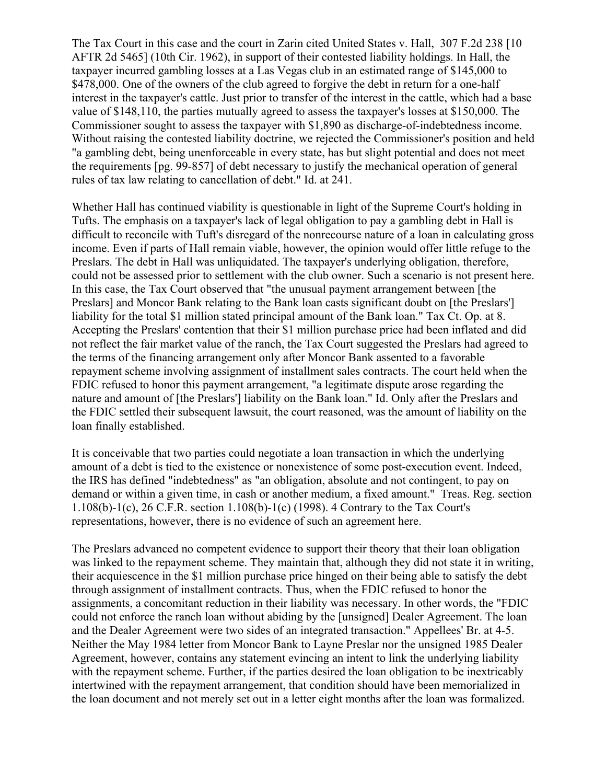The Tax Court in this case and the court in Zarin cited United States v. Hall, 307 F.2d 238 [10 AFTR 2d 5465] (10th Cir. 1962), in support of their contested liability holdings. In Hall, the taxpayer incurred gambling losses at a Las Vegas club in an estimated range of \$145,000 to \$478,000. One of the owners of the club agreed to forgive the debt in return for a one-half interest in the taxpayer's cattle. Just prior to transfer of the interest in the cattle, which had a base value of \$148,110, the parties mutually agreed to assess the taxpayer's losses at \$150,000. The Commissioner sought to assess the taxpayer with \$1,890 as discharge-of-indebtedness income. Without raising the contested liability doctrine, we rejected the Commissioner's position and held "a gambling debt, being unenforceable in every state, has but slight potential and does not meet the requirements [pg. 99-857] of debt necessary to justify the mechanical operation of general rules of tax law relating to cancellation of debt." Id. at 241.

Whether Hall has continued viability is questionable in light of the Supreme Court's holding in Tufts. The emphasis on a taxpayer's lack of legal obligation to pay a gambling debt in Hall is difficult to reconcile with Tuft's disregard of the nonrecourse nature of a loan in calculating gross income. Even if parts of Hall remain viable, however, the opinion would offer little refuge to the Preslars. The debt in Hall was unliquidated. The taxpayer's underlying obligation, therefore, could not be assessed prior to settlement with the club owner. Such a scenario is not present here. In this case, the Tax Court observed that "the unusual payment arrangement between [the Preslars] and Moncor Bank relating to the Bank loan casts significant doubt on [the Preslars'] liability for the total \$1 million stated principal amount of the Bank loan." Tax Ct. Op. at 8. Accepting the Preslars' contention that their \$1 million purchase price had been inflated and did not reflect the fair market value of the ranch, the Tax Court suggested the Preslars had agreed to the terms of the financing arrangement only after Moncor Bank assented to a favorable repayment scheme involving assignment of installment sales contracts. The court held when the FDIC refused to honor this payment arrangement, "a legitimate dispute arose regarding the nature and amount of [the Preslars'] liability on the Bank loan." Id. Only after the Preslars and the FDIC settled their subsequent lawsuit, the court reasoned, was the amount of liability on the loan finally established.

It is conceivable that two parties could negotiate a loan transaction in which the underlying amount of a debt is tied to the existence or nonexistence of some post-execution event. Indeed, the IRS has defined "indebtedness" as "an obligation, absolute and not contingent, to pay on demand or within a given time, in cash or another medium, a fixed amount." Treas. Reg. section 1.108(b)-1(c), 26 C.F.R. section 1.108(b)-1(c) (1998). 4 Contrary to the Tax Court's representations, however, there is no evidence of such an agreement here.

The Preslars advanced no competent evidence to support their theory that their loan obligation was linked to the repayment scheme. They maintain that, although they did not state it in writing, their acquiescence in the \$1 million purchase price hinged on their being able to satisfy the debt through assignment of installment contracts. Thus, when the FDIC refused to honor the assignments, a concomitant reduction in their liability was necessary. In other words, the "FDIC could not enforce the ranch loan without abiding by the [unsigned] Dealer Agreement. The loan and the Dealer Agreement were two sides of an integrated transaction." Appellees' Br. at 4-5. Neither the May 1984 letter from Moncor Bank to Layne Preslar nor the unsigned 1985 Dealer Agreement, however, contains any statement evincing an intent to link the underlying liability with the repayment scheme. Further, if the parties desired the loan obligation to be inextricably intertwined with the repayment arrangement, that condition should have been memorialized in the loan document and not merely set out in a letter eight months after the loan was formalized.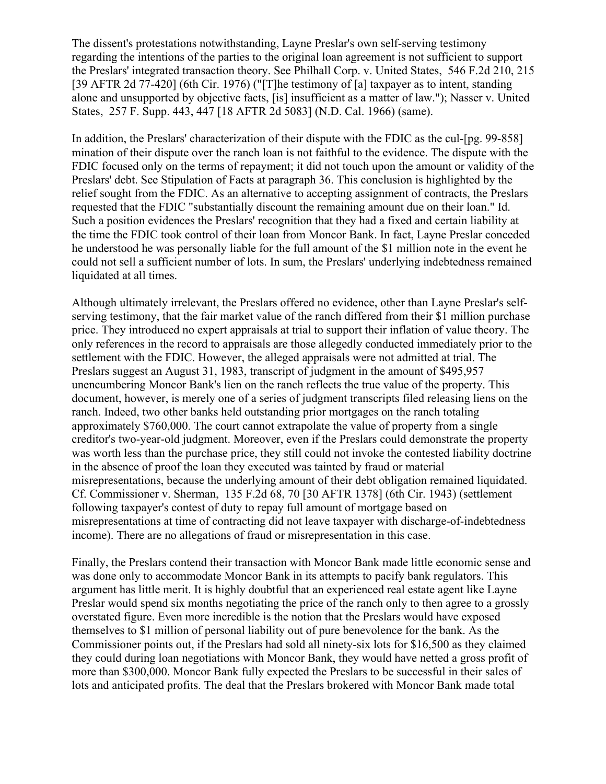The dissent's protestations notwithstanding, Layne Preslar's own self-serving testimony regarding the intentions of the parties to the original loan agreement is not sufficient to support the Preslars' integrated transaction theory. See Philhall Corp. v. United States, 546 F.2d 210, 215 [39 AFTR 2d 77-420] (6th Cir. 1976) ("[T]he testimony of [a] taxpayer as to intent, standing alone and unsupported by objective facts, [is] insufficient as a matter of law."); Nasser v. United States, 257 F. Supp. 443, 447 [18 AFTR 2d 5083] (N.D. Cal. 1966) (same).

In addition, the Preslars' characterization of their dispute with the FDIC as the cul-[pg. 99-858] mination of their dispute over the ranch loan is not faithful to the evidence. The dispute with the FDIC focused only on the terms of repayment; it did not touch upon the amount or validity of the Preslars' debt. See Stipulation of Facts at paragraph 36. This conclusion is highlighted by the relief sought from the FDIC. As an alternative to accepting assignment of contracts, the Preslars requested that the FDIC "substantially discount the remaining amount due on their loan." Id. Such a position evidences the Preslars' recognition that they had a fixed and certain liability at the time the FDIC took control of their loan from Moncor Bank. In fact, Layne Preslar conceded he understood he was personally liable for the full amount of the \$1 million note in the event he could not sell a sufficient number of lots. In sum, the Preslars' underlying indebtedness remained liquidated at all times.

Although ultimately irrelevant, the Preslars offered no evidence, other than Layne Preslar's selfserving testimony, that the fair market value of the ranch differed from their \$1 million purchase price. They introduced no expert appraisals at trial to support their inflation of value theory. The only references in the record to appraisals are those allegedly conducted immediately prior to the settlement with the FDIC. However, the alleged appraisals were not admitted at trial. The Preslars suggest an August 31, 1983, transcript of judgment in the amount of \$495,957 unencumbering Moncor Bank's lien on the ranch reflects the true value of the property. This document, however, is merely one of a series of judgment transcripts filed releasing liens on the ranch. Indeed, two other banks held outstanding prior mortgages on the ranch totaling approximately \$760,000. The court cannot extrapolate the value of property from a single creditor's two-year-old judgment. Moreover, even if the Preslars could demonstrate the property was worth less than the purchase price, they still could not invoke the contested liability doctrine in the absence of proof the loan they executed was tainted by fraud or material misrepresentations, because the underlying amount of their debt obligation remained liquidated. Cf. Commissioner v. Sherman, 135 F.2d 68, 70 [30 AFTR 1378] (6th Cir. 1943) (settlement following taxpayer's contest of duty to repay full amount of mortgage based on misrepresentations at time of contracting did not leave taxpayer with discharge-of-indebtedness income). There are no allegations of fraud or misrepresentation in this case.

Finally, the Preslars contend their transaction with Moncor Bank made little economic sense and was done only to accommodate Moncor Bank in its attempts to pacify bank regulators. This argument has little merit. It is highly doubtful that an experienced real estate agent like Layne Preslar would spend six months negotiating the price of the ranch only to then agree to a grossly overstated figure. Even more incredible is the notion that the Preslars would have exposed themselves to \$1 million of personal liability out of pure benevolence for the bank. As the Commissioner points out, if the Preslars had sold all ninety-six lots for \$16,500 as they claimed they could during loan negotiations with Moncor Bank, they would have netted a gross profit of more than \$300,000. Moncor Bank fully expected the Preslars to be successful in their sales of lots and anticipated profits. The deal that the Preslars brokered with Moncor Bank made total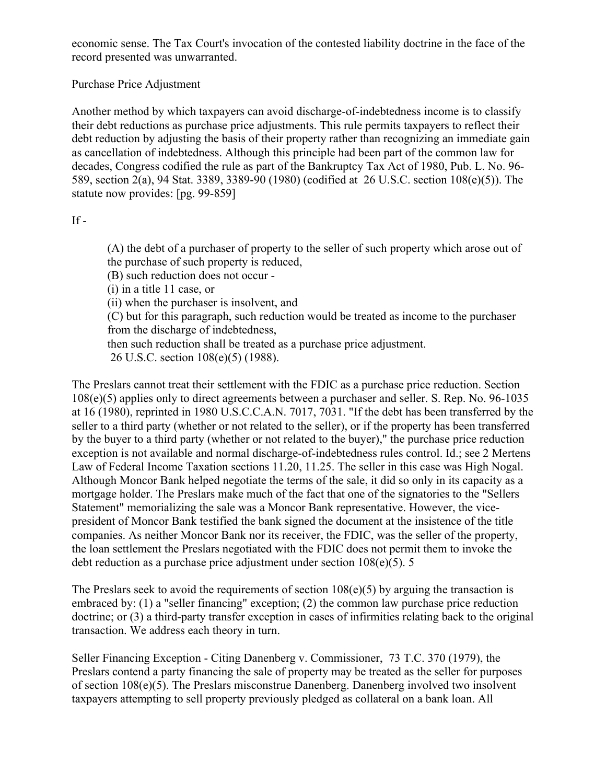economic sense. The Tax Court's invocation of the contested liability doctrine in the face of the record presented was unwarranted.

Purchase Price Adjustment

Another method by which taxpayers can avoid discharge-of-indebtedness income is to classify their debt reductions as purchase price adjustments. This rule permits taxpayers to reflect their debt reduction by adjusting the basis of their property rather than recognizing an immediate gain as cancellation of indebtedness. Although this principle had been part of the common law for decades, Congress codified the rule as part of the Bankruptcy Tax Act of 1980, Pub. L. No. 96- 589, section 2(a), 94 Stat. 3389, 3389-90 (1980) (codified at 26 U.S.C. section 108(e)(5)). The statute now provides: [pg. 99-859]

 $If -$ 

(A) the debt of a purchaser of property to the seller of such property which arose out of the purchase of such property is reduced,

(B) such reduction does not occur -

(i) in a title 11 case, or

(ii) when the purchaser is insolvent, and

(C) but for this paragraph, such reduction would be treated as income to the purchaser from the discharge of indebtedness,

then such reduction shall be treated as a purchase price adjustment.

26 U.S.C. section 108(e)(5) (1988).

The Preslars cannot treat their settlement with the FDIC as a purchase price reduction. Section 108(e)(5) applies only to direct agreements between a purchaser and seller. S. Rep. No. 96-1035 at 16 (1980), reprinted in 1980 U.S.C.C.A.N. 7017, 7031. "If the debt has been transferred by the seller to a third party (whether or not related to the seller), or if the property has been transferred by the buyer to a third party (whether or not related to the buyer)," the purchase price reduction exception is not available and normal discharge-of-indebtedness rules control. Id.; see 2 Mertens Law of Federal Income Taxation sections 11.20, 11.25. The seller in this case was High Nogal. Although Moncor Bank helped negotiate the terms of the sale, it did so only in its capacity as a mortgage holder. The Preslars make much of the fact that one of the signatories to the "Sellers Statement" memorializing the sale was a Moncor Bank representative. However, the vicepresident of Moncor Bank testified the bank signed the document at the insistence of the title companies. As neither Moncor Bank nor its receiver, the FDIC, was the seller of the property, the loan settlement the Preslars negotiated with the FDIC does not permit them to invoke the debt reduction as a purchase price adjustment under section 108(e)(5). 5

The Preslars seek to avoid the requirements of section  $108(e)(5)$  by arguing the transaction is embraced by: (1) a "seller financing" exception; (2) the common law purchase price reduction doctrine; or (3) a third-party transfer exception in cases of infirmities relating back to the original transaction. We address each theory in turn.

Seller Financing Exception - Citing Danenberg v. Commissioner, 73 T.C. 370 (1979), the Preslars contend a party financing the sale of property may be treated as the seller for purposes of section 108(e)(5). The Preslars misconstrue Danenberg. Danenberg involved two insolvent taxpayers attempting to sell property previously pledged as collateral on a bank loan. All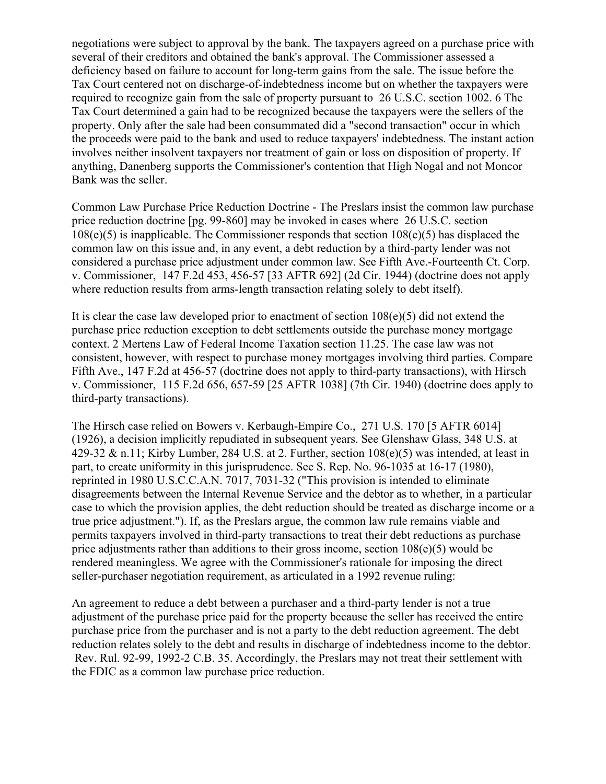negotiations were subject to approval by the bank. The taxpayers agreed on a purchase price with several of their creditors and obtained the bank's approval. The Commissioner assessed a deficiency based on failure to account for long-term gains from the sale. The issue before the Tax Court centered not on discharge-of-indebtedness income but on whether the taxpayers were required to recognize gain from the sale of property pursuant to 26 U.S.C. section 1002. 6 The Tax Court determined a gain had to be recognized because the taxpayers were the sellers of the property. Only after the sale had been consummated did a "second transaction" occur in which the proceeds were paid to the bank and used to reduce taxpayers' indebtedness. The instant action involves neither insolvent taxpayers nor treatment of gain or loss on disposition of property. If anything, Danenberg supports the Commissioner's contention that High Nogal and not Moncor Bank was the seller.

Common Law Purchase Price Reduction Doctrine - The Preslars insist the common law purchase price reduction doctrine [pg. 99-860] may be invoked in cases where 26 U.S.C. section  $108(e)(5)$  is inapplicable. The Commissioner responds that section  $108(e)(5)$  has displaced the common law on this issue and, in any event, a debt reduction by a third-party lender was not considered a purchase price adjustment under common law. See Fifth Ave.-Fourteenth Ct. Corp. v. Commissioner, 147 F.2d 453, 456-57 [33 AFTR 692] (2d Cir. 1944) (doctrine does not apply where reduction results from arms-length transaction relating solely to debt itself).

It is clear the case law developed prior to enactment of section  $108(e)(5)$  did not extend the purchase price reduction exception to debt settlements outside the purchase money mortgage context. 2 Mertens Law of Federal Income Taxation section 11.25. The case law was not consistent, however, with respect to purchase money mortgages involving third parties. Compare Fifth Ave., 147 F.2d at 456-57 (doctrine does not apply to third-party transactions), with Hirsch v. Commissioner, 115 F.2d 656, 657-59 [25 AFTR 1038] (7th Cir. 1940) (doctrine does apply to third-party transactions).

The Hirsch case relied on Bowers v. Kerbaugh-Empire Co., 271 U.S. 170 [5 AFTR 6014] (1926), a decision implicitly repudiated in subsequent years. See Glenshaw Glass, 348 U.S. at 429-32 & n.11; Kirby Lumber, 284 U.S. at 2. Further, section  $108(e)(5)$  was intended, at least in part, to create uniformity in this jurisprudence. See S. Rep. No. 96-1035 at 16-17 (1980), reprinted in 1980 U.S.C.C.A.N. 7017, 7031-32 ("This provision is intended to eliminate disagreements between the Internal Revenue Service and the debtor as to whether, in a particular case to which the provision applies, the debt reduction should be treated as discharge income or a true price adjustment."). If, as the Preslars argue, the common law rule remains viable and permits taxpayers involved in third-party transactions to treat their debt reductions as purchase price adjustments rather than additions to their gross income, section 108(e)(5) would be rendered meaningless. We agree with the Commissioner's rationale for imposing the direct seller-purchaser negotiation requirement, as articulated in a 1992 revenue ruling:

An agreement to reduce a debt between a purchaser and a third-party lender is not a true adjustment of the purchase price paid for the property because the seller has received the entire purchase price from the purchaser and is not a party to the debt reduction agreement. The debt reduction relates solely to the debt and results in discharge of indebtedness income to the debtor. Rev. Rul. 92-99, 1992-2 C.B. 35. Accordingly, the Preslars may not treat their settlement with the FDIC as a common law purchase price reduction.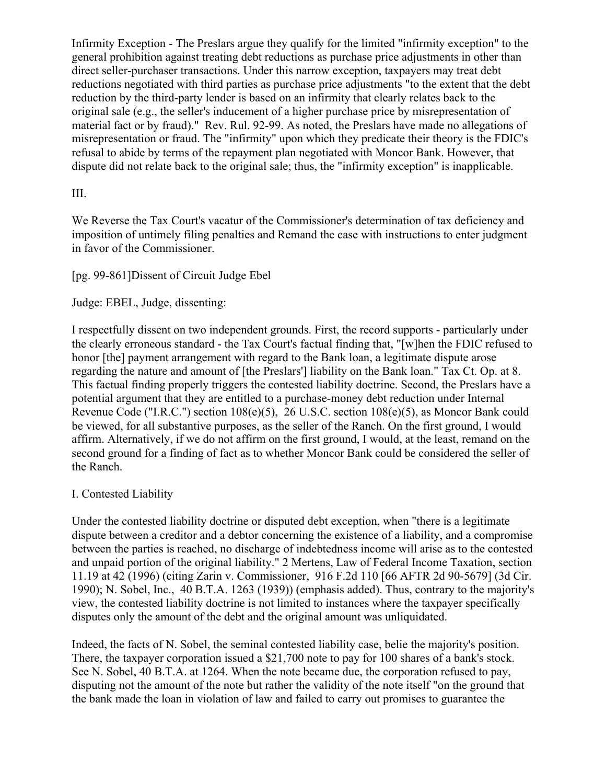Infirmity Exception - The Preslars argue they qualify for the limited "infirmity exception" to the general prohibition against treating debt reductions as purchase price adjustments in other than direct seller-purchaser transactions. Under this narrow exception, taxpayers may treat debt reductions negotiated with third parties as purchase price adjustments "to the extent that the debt reduction by the third-party lender is based on an infirmity that clearly relates back to the original sale (e.g., the seller's inducement of a higher purchase price by misrepresentation of material fact or by fraud)." Rev. Rul. 92-99. As noted, the Preslars have made no allegations of misrepresentation or fraud. The "infirmity" upon which they predicate their theory is the FDIC's refusal to abide by terms of the repayment plan negotiated with Moncor Bank. However, that dispute did not relate back to the original sale; thus, the "infirmity exception" is inapplicable.

### III.

We Reverse the Tax Court's vacatur of the Commissioner's determination of tax deficiency and imposition of untimely filing penalties and Remand the case with instructions to enter judgment in favor of the Commissioner.

## [pg. 99-861]Dissent of Circuit Judge Ebel

### Judge: EBEL, Judge, dissenting:

I respectfully dissent on two independent grounds. First, the record supports - particularly under the clearly erroneous standard - the Tax Court's factual finding that, "[w]hen the FDIC refused to honor [the] payment arrangement with regard to the Bank loan, a legitimate dispute arose regarding the nature and amount of [the Preslars'] liability on the Bank loan." Tax Ct. Op. at 8. This factual finding properly triggers the contested liability doctrine. Second, the Preslars have a potential argument that they are entitled to a purchase-money debt reduction under Internal Revenue Code ("I.R.C.") section 108(e)(5), 26 U.S.C. section 108(e)(5), as Moncor Bank could be viewed, for all substantive purposes, as the seller of the Ranch. On the first ground, I would affirm. Alternatively, if we do not affirm on the first ground, I would, at the least, remand on the second ground for a finding of fact as to whether Moncor Bank could be considered the seller of the Ranch.

### I. Contested Liability

Under the contested liability doctrine or disputed debt exception, when "there is a legitimate dispute between a creditor and a debtor concerning the existence of a liability, and a compromise between the parties is reached, no discharge of indebtedness income will arise as to the contested and unpaid portion of the original liability." 2 Mertens, Law of Federal Income Taxation, section 11.19 at 42 (1996) (citing Zarin v. Commissioner, 916 F.2d 110 [66 AFTR 2d 90-5679] (3d Cir. 1990); N. Sobel, Inc., 40 B.T.A. 1263 (1939)) (emphasis added). Thus, contrary to the majority's view, the contested liability doctrine is not limited to instances where the taxpayer specifically disputes only the amount of the debt and the original amount was unliquidated.

Indeed, the facts of N. Sobel, the seminal contested liability case, belie the majority's position. There, the taxpayer corporation issued a \$21,700 note to pay for 100 shares of a bank's stock. See N. Sobel, 40 B.T.A. at 1264. When the note became due, the corporation refused to pay, disputing not the amount of the note but rather the validity of the note itself "on the ground that the bank made the loan in violation of law and failed to carry out promises to guarantee the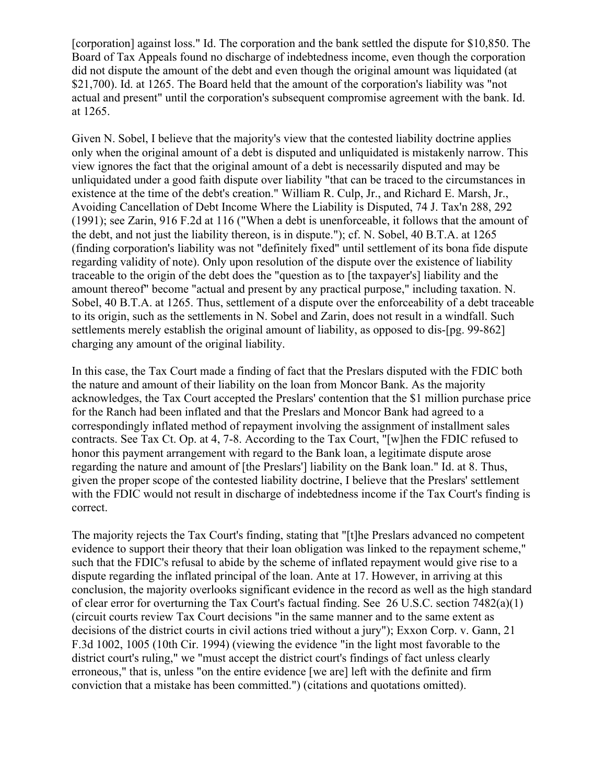[corporation] against loss." Id. The corporation and the bank settled the dispute for \$10,850. The Board of Tax Appeals found no discharge of indebtedness income, even though the corporation did not dispute the amount of the debt and even though the original amount was liquidated (at \$21,700). Id. at 1265. The Board held that the amount of the corporation's liability was "not actual and present" until the corporation's subsequent compromise agreement with the bank. Id. at 1265.

Given N. Sobel, I believe that the majority's view that the contested liability doctrine applies only when the original amount of a debt is disputed and unliquidated is mistakenly narrow. This view ignores the fact that the original amount of a debt is necessarily disputed and may be unliquidated under a good faith dispute over liability "that can be traced to the circumstances in existence at the time of the debt's creation." William R. Culp, Jr., and Richard E. Marsh, Jr., Avoiding Cancellation of Debt Income Where the Liability is Disputed, 74 J. Tax'n 288, 292 (1991); see Zarin, 916 F.2d at 116 ("When a debt is unenforceable, it follows that the amount of the debt, and not just the liability thereon, is in dispute."); cf. N. Sobel, 40 B.T.A. at 1265 (finding corporation's liability was not "definitely fixed" until settlement of its bona fide dispute regarding validity of note). Only upon resolution of the dispute over the existence of liability traceable to the origin of the debt does the "question as to [the taxpayer's] liability and the amount thereof" become "actual and present by any practical purpose," including taxation. N. Sobel, 40 B.T.A. at 1265. Thus, settlement of a dispute over the enforceability of a debt traceable to its origin, such as the settlements in N. Sobel and Zarin, does not result in a windfall. Such settlements merely establish the original amount of liability, as opposed to dis-[pg. 99-862] charging any amount of the original liability.

In this case, the Tax Court made a finding of fact that the Preslars disputed with the FDIC both the nature and amount of their liability on the loan from Moncor Bank. As the majority acknowledges, the Tax Court accepted the Preslars' contention that the \$1 million purchase price for the Ranch had been inflated and that the Preslars and Moncor Bank had agreed to a correspondingly inflated method of repayment involving the assignment of installment sales contracts. See Tax Ct. Op. at 4, 7-8. According to the Tax Court, "[w]hen the FDIC refused to honor this payment arrangement with regard to the Bank loan, a legitimate dispute arose regarding the nature and amount of [the Preslars'] liability on the Bank loan." Id. at 8. Thus, given the proper scope of the contested liability doctrine, I believe that the Preslars' settlement with the FDIC would not result in discharge of indebtedness income if the Tax Court's finding is correct.

The majority rejects the Tax Court's finding, stating that "[t]he Preslars advanced no competent evidence to support their theory that their loan obligation was linked to the repayment scheme," such that the FDIC's refusal to abide by the scheme of inflated repayment would give rise to a dispute regarding the inflated principal of the loan. Ante at 17. However, in arriving at this conclusion, the majority overlooks significant evidence in the record as well as the high standard of clear error for overturning the Tax Court's factual finding. See 26 U.S.C. section 7482(a)(1) (circuit courts review Tax Court decisions "in the same manner and to the same extent as decisions of the district courts in civil actions tried without a jury"); Exxon Corp. v. Gann, 21 F.3d 1002, 1005 (10th Cir. 1994) (viewing the evidence "in the light most favorable to the district court's ruling," we "must accept the district court's findings of fact unless clearly erroneous," that is, unless "on the entire evidence [we are] left with the definite and firm conviction that a mistake has been committed.") (citations and quotations omitted).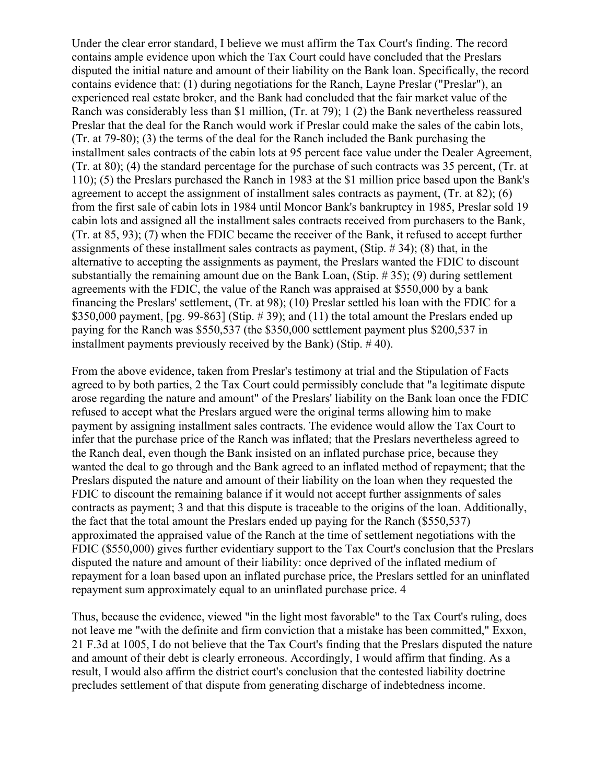Under the clear error standard, I believe we must affirm the Tax Court's finding. The record contains ample evidence upon which the Tax Court could have concluded that the Preslars disputed the initial nature and amount of their liability on the Bank loan. Specifically, the record contains evidence that: (1) during negotiations for the Ranch, Layne Preslar ("Preslar"), an experienced real estate broker, and the Bank had concluded that the fair market value of the Ranch was considerably less than \$1 million, (Tr. at 79); 1 (2) the Bank nevertheless reassured Preslar that the deal for the Ranch would work if Preslar could make the sales of the cabin lots, (Tr. at 79-80); (3) the terms of the deal for the Ranch included the Bank purchasing the installment sales contracts of the cabin lots at 95 percent face value under the Dealer Agreement, (Tr. at 80); (4) the standard percentage for the purchase of such contracts was 35 percent, (Tr. at 110); (5) the Preslars purchased the Ranch in 1983 at the \$1 million price based upon the Bank's agreement to accept the assignment of installment sales contracts as payment, (Tr. at 82); (6) from the first sale of cabin lots in 1984 until Moncor Bank's bankruptcy in 1985, Preslar sold 19 cabin lots and assigned all the installment sales contracts received from purchasers to the Bank, (Tr. at 85, 93); (7) when the FDIC became the receiver of the Bank, it refused to accept further assignments of these installment sales contracts as payment, (Stip. # 34); (8) that, in the alternative to accepting the assignments as payment, the Preslars wanted the FDIC to discount substantially the remaining amount due on the Bank Loan, (Stip. # 35); (9) during settlement agreements with the FDIC, the value of the Ranch was appraised at \$550,000 by a bank financing the Preslars' settlement, (Tr. at 98); (10) Preslar settled his loan with the FDIC for a \$350,000 payment,  $[pg. 99-863]$  (Stip. #39); and (11) the total amount the Preslars ended up paying for the Ranch was \$550,537 (the \$350,000 settlement payment plus \$200,537 in installment payments previously received by the Bank) (Stip. # 40).

From the above evidence, taken from Preslar's testimony at trial and the Stipulation of Facts agreed to by both parties, 2 the Tax Court could permissibly conclude that "a legitimate dispute arose regarding the nature and amount" of the Preslars' liability on the Bank loan once the FDIC refused to accept what the Preslars argued were the original terms allowing him to make payment by assigning installment sales contracts. The evidence would allow the Tax Court to infer that the purchase price of the Ranch was inflated; that the Preslars nevertheless agreed to the Ranch deal, even though the Bank insisted on an inflated purchase price, because they wanted the deal to go through and the Bank agreed to an inflated method of repayment; that the Preslars disputed the nature and amount of their liability on the loan when they requested the FDIC to discount the remaining balance if it would not accept further assignments of sales contracts as payment; 3 and that this dispute is traceable to the origins of the loan. Additionally, the fact that the total amount the Preslars ended up paying for the Ranch (\$550,537) approximated the appraised value of the Ranch at the time of settlement negotiations with the FDIC (\$550,000) gives further evidentiary support to the Tax Court's conclusion that the Preslars disputed the nature and amount of their liability: once deprived of the inflated medium of repayment for a loan based upon an inflated purchase price, the Preslars settled for an uninflated repayment sum approximately equal to an uninflated purchase price. 4

Thus, because the evidence, viewed "in the light most favorable" to the Tax Court's ruling, does not leave me "with the definite and firm conviction that a mistake has been committed," Exxon, 21 F.3d at 1005, I do not believe that the Tax Court's finding that the Preslars disputed the nature and amount of their debt is clearly erroneous. Accordingly, I would affirm that finding. As a result, I would also affirm the district court's conclusion that the contested liability doctrine precludes settlement of that dispute from generating discharge of indebtedness income.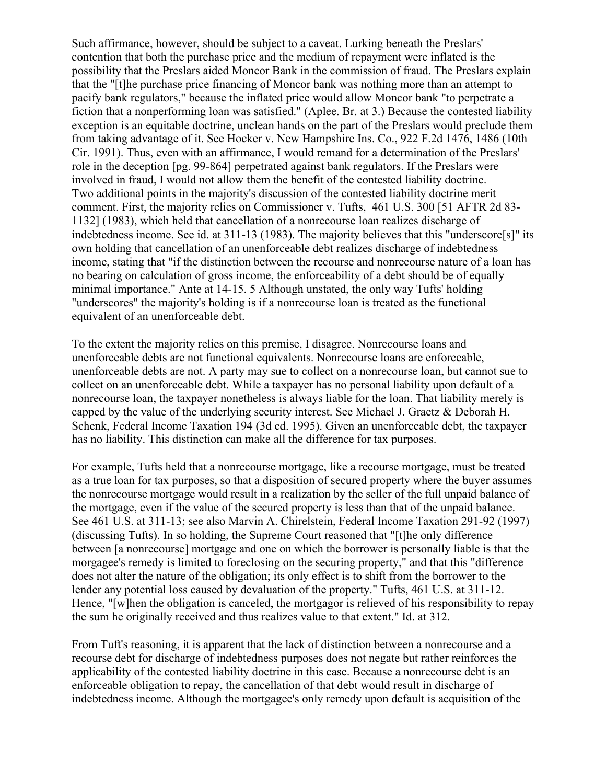Such affirmance, however, should be subject to a caveat. Lurking beneath the Preslars' contention that both the purchase price and the medium of repayment were inflated is the possibility that the Preslars aided Moncor Bank in the commission of fraud. The Preslars explain that the "[t]he purchase price financing of Moncor bank was nothing more than an attempt to pacify bank regulators," because the inflated price would allow Moncor bank "to perpetrate a fiction that a nonperforming loan was satisfied." (Aplee. Br. at 3.) Because the contested liability exception is an equitable doctrine, unclean hands on the part of the Preslars would preclude them from taking advantage of it. See Hocker v. New Hampshire Ins. Co., 922 F.2d 1476, 1486 (10th Cir. 1991). Thus, even with an affirmance, I would remand for a determination of the Preslars' role in the deception [pg. 99-864] perpetrated against bank regulators. If the Preslars were involved in fraud, I would not allow them the benefit of the contested liability doctrine. Two additional points in the majority's discussion of the contested liability doctrine merit comment. First, the majority relies on Commissioner v. Tufts, 461 U.S. 300 [51 AFTR 2d 83- 1132] (1983), which held that cancellation of a nonrecourse loan realizes discharge of indebtedness income. See id. at 311-13 (1983). The majority believes that this "underscore[s]" its own holding that cancellation of an unenforceable debt realizes discharge of indebtedness income, stating that "if the distinction between the recourse and nonrecourse nature of a loan has no bearing on calculation of gross income, the enforceability of a debt should be of equally minimal importance." Ante at 14-15. 5 Although unstated, the only way Tufts' holding "underscores" the majority's holding is if a nonrecourse loan is treated as the functional equivalent of an unenforceable debt.

To the extent the majority relies on this premise, I disagree. Nonrecourse loans and unenforceable debts are not functional equivalents. Nonrecourse loans are enforceable, unenforceable debts are not. A party may sue to collect on a nonrecourse loan, but cannot sue to collect on an unenforceable debt. While a taxpayer has no personal liability upon default of a nonrecourse loan, the taxpayer nonetheless is always liable for the loan. That liability merely is capped by the value of the underlying security interest. See Michael J. Graetz & Deborah H. Schenk, Federal Income Taxation 194 (3d ed. 1995). Given an unenforceable debt, the taxpayer has no liability. This distinction can make all the difference for tax purposes.

For example, Tufts held that a nonrecourse mortgage, like a recourse mortgage, must be treated as a true loan for tax purposes, so that a disposition of secured property where the buyer assumes the nonrecourse mortgage would result in a realization by the seller of the full unpaid balance of the mortgage, even if the value of the secured property is less than that of the unpaid balance. See 461 U.S. at 311-13; see also Marvin A. Chirelstein, Federal Income Taxation 291-92 (1997) (discussing Tufts). In so holding, the Supreme Court reasoned that "[t]he only difference between [a nonrecourse] mortgage and one on which the borrower is personally liable is that the morgagee's remedy is limited to foreclosing on the securing property," and that this "difference does not alter the nature of the obligation; its only effect is to shift from the borrower to the lender any potential loss caused by devaluation of the property." Tufts, 461 U.S. at 311-12. Hence, "[w]hen the obligation is canceled, the mortgagor is relieved of his responsibility to repay the sum he originally received and thus realizes value to that extent." Id. at 312.

From Tuft's reasoning, it is apparent that the lack of distinction between a nonrecourse and a recourse debt for discharge of indebtedness purposes does not negate but rather reinforces the applicability of the contested liability doctrine in this case. Because a nonrecourse debt is an enforceable obligation to repay, the cancellation of that debt would result in discharge of indebtedness income. Although the mortgagee's only remedy upon default is acquisition of the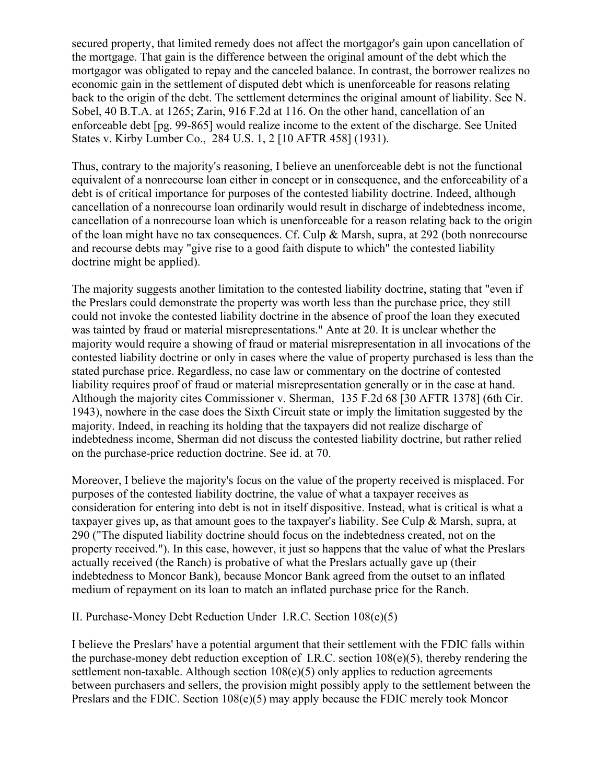secured property, that limited remedy does not affect the mortgagor's gain upon cancellation of the mortgage. That gain is the difference between the original amount of the debt which the mortgagor was obligated to repay and the canceled balance. In contrast, the borrower realizes no economic gain in the settlement of disputed debt which is unenforceable for reasons relating back to the origin of the debt. The settlement determines the original amount of liability. See N. Sobel, 40 B.T.A. at 1265; Zarin, 916 F.2d at 116. On the other hand, cancellation of an enforceable debt [pg. 99-865] would realize income to the extent of the discharge. See United States v. Kirby Lumber Co., 284 U.S. 1, 2 [10 AFTR 458] (1931).

Thus, contrary to the majority's reasoning, I believe an unenforceable debt is not the functional equivalent of a nonrecourse loan either in concept or in consequence, and the enforceability of a debt is of critical importance for purposes of the contested liability doctrine. Indeed, although cancellation of a nonrecourse loan ordinarily would result in discharge of indebtedness income, cancellation of a nonrecourse loan which is unenforceable for a reason relating back to the origin of the loan might have no tax consequences. Cf. Culp & Marsh, supra, at 292 (both nonrecourse and recourse debts may "give rise to a good faith dispute to which" the contested liability doctrine might be applied).

The majority suggests another limitation to the contested liability doctrine, stating that "even if the Preslars could demonstrate the property was worth less than the purchase price, they still could not invoke the contested liability doctrine in the absence of proof the loan they executed was tainted by fraud or material misrepresentations." Ante at 20. It is unclear whether the majority would require a showing of fraud or material misrepresentation in all invocations of the contested liability doctrine or only in cases where the value of property purchased is less than the stated purchase price. Regardless, no case law or commentary on the doctrine of contested liability requires proof of fraud or material misrepresentation generally or in the case at hand. Although the majority cites Commissioner v. Sherman, 135 F.2d 68 [30 AFTR 1378] (6th Cir. 1943), nowhere in the case does the Sixth Circuit state or imply the limitation suggested by the majority. Indeed, in reaching its holding that the taxpayers did not realize discharge of indebtedness income, Sherman did not discuss the contested liability doctrine, but rather relied on the purchase-price reduction doctrine. See id. at 70.

Moreover, I believe the majority's focus on the value of the property received is misplaced. For purposes of the contested liability doctrine, the value of what a taxpayer receives as consideration for entering into debt is not in itself dispositive. Instead, what is critical is what a taxpayer gives up, as that amount goes to the taxpayer's liability. See Culp & Marsh, supra, at 290 ("The disputed liability doctrine should focus on the indebtedness created, not on the property received."). In this case, however, it just so happens that the value of what the Preslars actually received (the Ranch) is probative of what the Preslars actually gave up (their indebtedness to Moncor Bank), because Moncor Bank agreed from the outset to an inflated medium of repayment on its loan to match an inflated purchase price for the Ranch.

II. Purchase-Money Debt Reduction Under I.R.C. Section 108(e)(5)

I believe the Preslars' have a potential argument that their settlement with the FDIC falls within the purchase-money debt reduction exception of I.R.C. section 108(e)(5), thereby rendering the settlement non-taxable. Although section 108(e)(5) only applies to reduction agreements between purchasers and sellers, the provision might possibly apply to the settlement between the Preslars and the FDIC. Section 108(e)(5) may apply because the FDIC merely took Moncor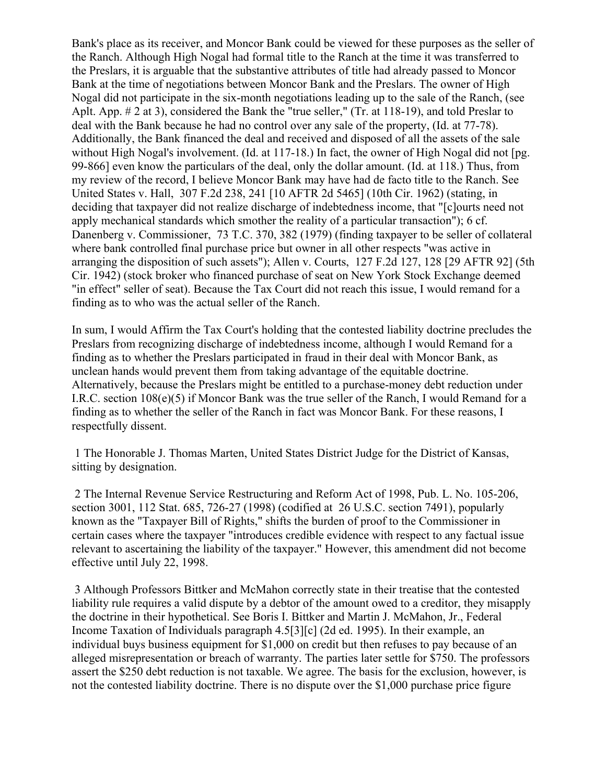Bank's place as its receiver, and Moncor Bank could be viewed for these purposes as the seller of the Ranch. Although High Nogal had formal title to the Ranch at the time it was transferred to the Preslars, it is arguable that the substantive attributes of title had already passed to Moncor Bank at the time of negotiations between Moncor Bank and the Preslars. The owner of High Nogal did not participate in the six-month negotiations leading up to the sale of the Ranch, (see Aplt. App. # 2 at 3), considered the Bank the "true seller," (Tr. at 118-19), and told Preslar to deal with the Bank because he had no control over any sale of the property, (Id. at 77-78). Additionally, the Bank financed the deal and received and disposed of all the assets of the sale without High Nogal's involvement. (Id. at 117-18.) In fact, the owner of High Nogal did not [pg. 99-866] even know the particulars of the deal, only the dollar amount. (Id. at 118.) Thus, from my review of the record, I believe Moncor Bank may have had de facto title to the Ranch. See United States v. Hall, 307 F.2d 238, 241 [10 AFTR 2d 5465] (10th Cir. 1962) (stating, in deciding that taxpayer did not realize discharge of indebtedness income, that "[c]ourts need not apply mechanical standards which smother the reality of a particular transaction"); 6 cf. Danenberg v. Commissioner, 73 T.C. 370, 382 (1979) (finding taxpayer to be seller of collateral where bank controlled final purchase price but owner in all other respects "was active in arranging the disposition of such assets"); Allen v. Courts, 127 F.2d 127, 128 [29 AFTR 92] (5th Cir. 1942) (stock broker who financed purchase of seat on New York Stock Exchange deemed "in effect" seller of seat). Because the Tax Court did not reach this issue, I would remand for a finding as to who was the actual seller of the Ranch.

In sum, I would Affirm the Tax Court's holding that the contested liability doctrine precludes the Preslars from recognizing discharge of indebtedness income, although I would Remand for a finding as to whether the Preslars participated in fraud in their deal with Moncor Bank, as unclean hands would prevent them from taking advantage of the equitable doctrine. Alternatively, because the Preslars might be entitled to a purchase-money debt reduction under I.R.C. section 108(e)(5) if Moncor Bank was the true seller of the Ranch, I would Remand for a finding as to whether the seller of the Ranch in fact was Moncor Bank. For these reasons, I respectfully dissent.

1 The Honorable J. Thomas Marten, United States District Judge for the District of Kansas, sitting by designation.

2 The Internal Revenue Service Restructuring and Reform Act of 1998, Pub. L. No. 105-206, section 3001, 112 Stat. 685, 726-27 (1998) (codified at 26 U.S.C. section 7491), popularly known as the "Taxpayer Bill of Rights," shifts the burden of proof to the Commissioner in certain cases where the taxpayer "introduces credible evidence with respect to any factual issue relevant to ascertaining the liability of the taxpayer." However, this amendment did not become effective until July 22, 1998.

3 Although Professors Bittker and McMahon correctly state in their treatise that the contested liability rule requires a valid dispute by a debtor of the amount owed to a creditor, they misapply the doctrine in their hypothetical. See Boris I. Bittker and Martin J. McMahon, Jr., Federal Income Taxation of Individuals paragraph 4.5[3][c] (2d ed. 1995). In their example, an individual buys business equipment for \$1,000 on credit but then refuses to pay because of an alleged misrepresentation or breach of warranty. The parties later settle for \$750. The professors assert the \$250 debt reduction is not taxable. We agree. The basis for the exclusion, however, is not the contested liability doctrine. There is no dispute over the \$1,000 purchase price figure